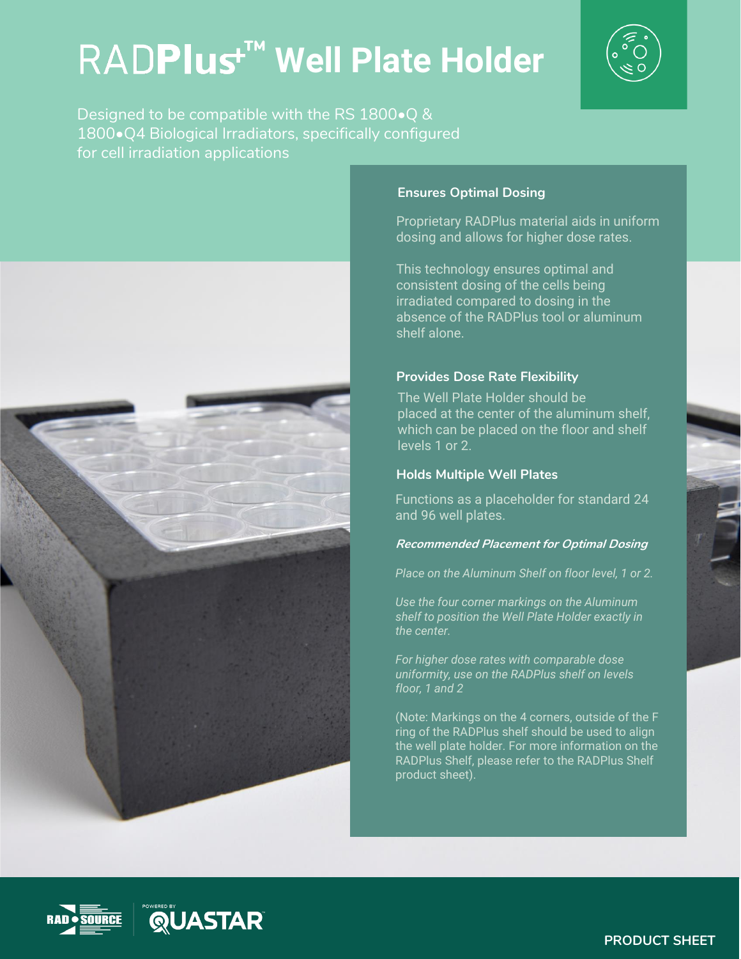# **RADPlus<sup>★™</sup> Well Plate Holder**



Designed to be compatible with the RS 1800•Q & 1800•Q4 Biological Irradiators, specifically configured for cell irradiation applications



## **Ensures Optimal Dosing**

Proprietary RADPlus material aids in uniform dosing and allows for higher dose rates.

This technology ensures optimal and consistent dosing of the cells being irradiated compared to dosing in the absence of the RADPlus tool or aluminum shelf alone.

## **Provides Dose Rate Flexibility**

The Well Plate Holder should be placed at the center of the aluminum shelf. which can be placed on the floor and shelf levels 1 or 2.

### **Holds Multiple Well Plates**

Functions as a placeholder for standard 24 and 96 well plates.

#### **Recommended Placement for Optimal Dosing**

*Place on the Aluminum Shelf on floor level, 1 or 2.* 

*Use the four corner markings on the Aluminum shelf to position the Well Plate Holder exactly in the center.*

*For higher dose rates with comparable dose uniformity, use on the RADPlus shelf on levels floor, 1 and 2* 

(Note: Markings on the 4 corners, outside of the F ring of the RADPlus shelf should be used to align the well plate holder. For more information on the RADPlus Shelf, please refer to the RADPlus Shelf product sheet).